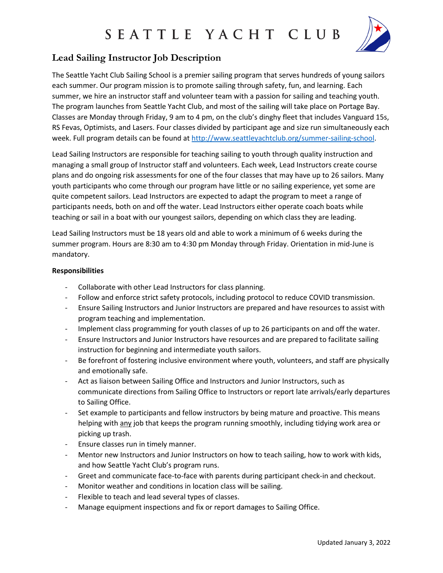## SEATTLE YACHT CLUB



### **Lead Sailing Instructor Job Description**

The Seattle Yacht Club Sailing School is a premier sailing program that serves hundreds of young sailors each summer. Our program mission is to promote sailing through safety, fun, and learning. Each summer, we hire an instructor staff and volunteer team with a passion for sailing and teaching youth. The program launches from Seattle Yacht Club, and most of the sailing will take place on Portage Bay. Classes are Monday through Friday, 9 am to 4 pm, on the club's dinghy fleet that includes Vanguard 15s, RS Fevas, Optimists, and Lasers. Four classes divided by participant age and size run simultaneously each week. Full program details can be found at [http://www.seattleyachtclub.org/summer-sailing-school.](http://www.seattleyachtclub.org/summer-sailing-school)

Lead Sailing Instructors are responsible for teaching sailing to youth through quality instruction and managing a small group of Instructor staff and volunteers. Each week, Lead Instructors create course plans and do ongoing risk assessments for one of the four classes that may have up to 26 sailors. Many youth participants who come through our program have little or no sailing experience, yet some are quite competent sailors. Lead Instructors are expected to adapt the program to meet a range of participants needs, both on and off the water. Lead Instructors either operate coach boats while teaching or sail in a boat with our youngest sailors, depending on which class they are leading.

Lead Sailing Instructors must be 18 years old and able to work a minimum of 6 weeks during the summer program. Hours are 8:30 am to 4:30 pm Monday through Friday. Orientation in mid-June is mandatory.

### **Responsibilities**

- Collaborate with other Lead Instructors for class planning.
- Follow and enforce strict safety protocols, including protocol to reduce COVID transmission.
- Ensure Sailing Instructors and Junior Instructors are prepared and have resources to assist with program teaching and implementation.
- Implement class programming for youth classes of up to 26 participants on and off the water.
- Ensure Instructors and Junior Instructors have resources and are prepared to facilitate sailing instruction for beginning and intermediate youth sailors.
- Be forefront of fostering inclusive environment where youth, volunteers, and staff are physically and emotionally safe.
- Act as liaison between Sailing Office and Instructors and Junior Instructors, such as communicate directions from Sailing Office to Instructors or report late arrivals/early departures to Sailing Office.
- Set example to participants and fellow instructors by being mature and proactive. This means helping with any job that keeps the program running smoothly, including tidying work area or picking up trash.
- Ensure classes run in timely manner.
- Mentor new Instructors and Junior Instructors on how to teach sailing, how to work with kids, and how Seattle Yacht Club's program runs.
- Greet and communicate face-to-face with parents during participant check-in and checkout.
- Monitor weather and conditions in location class will be sailing.
- Flexible to teach and lead several types of classes.
- Manage equipment inspections and fix or report damages to Sailing Office.